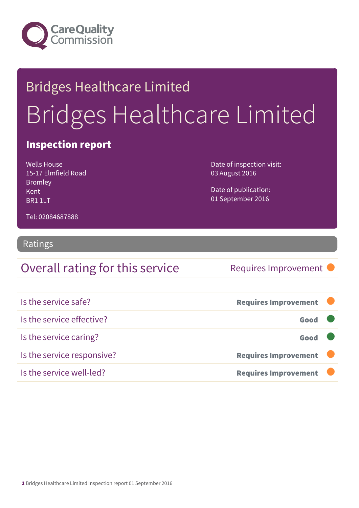

# Bridges Healthcare Limited Bridges Healthcare Limited

#### Inspection report

Wells House 15-17 Elmfield Road Bromley Kent BR1 1LT

Date of inspection visit: 03 August 2016

Date of publication: 01 September 2016

Tel: 02084687888

#### Ratings

#### Overall rating for this service Requires Improvement

| Is the service safe?       | <b>Requires Improvement</b> |
|----------------------------|-----------------------------|
| Is the service effective?  | Good                        |
| Is the service caring?     | Good                        |
| Is the service responsive? | <b>Requires Improvement</b> |
| Is the service well-led?   | <b>Requires Improvement</b> |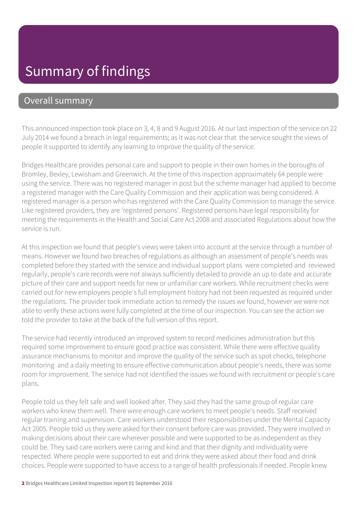### Summary of findings

#### Overall summary

This announced inspection took place on 3, 4, 8 and 9 August 2016. At our last inspection of the service on 22 July 2014 we found a breach in legal requirements; as it was not clear that the service sought the views of people it supported to identify any learning to improve the quality of the service.

Bridges Healthcare provides personal care and support to people in their own homes in the boroughs of Bromley, Bexley, Lewisham and Greenwich. At the time of this inspection approximately 64 people were using the service. There was no registered manager in post but the scheme manager had applied to become a registered manager with the Care Quality Commission and their application was being considered. A registered manager is a person who has registered with the Care Quality Commission to manage the service. Like registered providers, they are 'registered persons'. Registered persons have legal responsibility for meeting the requirements in the Health and Social Care Act 2008 and associated Regulations about how the service is run.

At this inspection we found that people's views were taken into account at the service through a number of means. However we found two breaches of regulations as although an assessment of people's needs was completed before they started with the service and individual support plans were completed and reviewed regularly, people's care records were not always sufficiently detailed to provide an up to date and accurate picture of their care and support needs for new or unfamiliar care workers. While recruitment checks were carried out for new employees people's full employment history had not been requested as required under the regulations. The provider took immediate action to remedy the issues we found, however we were not able to verify these actions were fully completed at the time of our inspection. You can see the action we told the provider to take at the back of the full version of this report.

The service had recently introduced an improved system to record medicines administration but this required some improvement to ensure good practice was consistent. While there were effective quality assurance mechanisms to monitor and improve the quality of the service such as spot checks, telephone monitoring and a daily meeting to ensure effective communication about people's needs, there was some room for improvement. The service had not identified the issues we found with recruitment or people's care plans.

People told us they felt safe and well looked after. They said they had the same group of regular care workers who knew them well. There were enough care workers to meet people's needs. Staff received regular training and supervision. Care workers understood their responsibilities under the Mental Capacity Act 2005. People told us they were asked for their consent before care was provided. They were involved in making decisions about their care wherever possible and were supported to be as independent as they could be. They said care workers were caring and kind and that their dignity and individuality were respected. Where people were supported to eat and drink they were asked about their food and drink choices. People were supported to have access to a range of health professionals if needed. People knew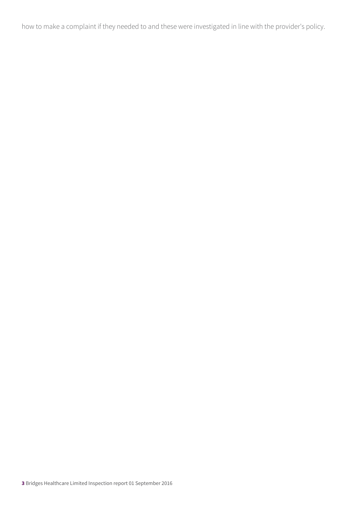how to make a complaint if they needed to and these were investigated in line with the provider's policy.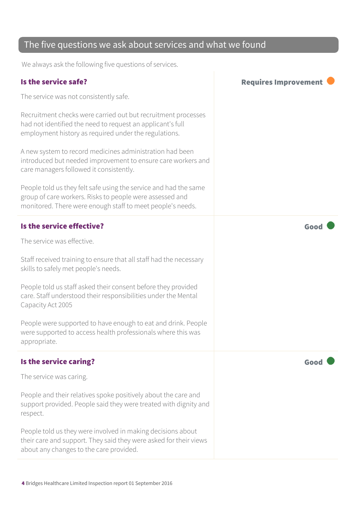#### The five questions we ask about services and what we found

We always ask the following five questions of services.

The service was not consistently safe.

Recruitment checks were carried out but recruitment processes had not identified the need to request an applicant's full employment history as required under the regulations.

A new system to record medicines administration had been introduced but needed improvement to ensure care workers and care managers followed it consistently.

People told us they felt safe using the service and had the same group of care workers. Risks to people were assessed and monitored. There were enough staff to meet people's needs.

#### Is the service effective?  $\blacksquare$

The service was effective.

Staff received training to ensure that all staff had the necessary skills to safely met people's needs.

People told us staff asked their consent before they provided care. Staff understood their responsibilities under the Mental Capacity Act 2005

People were supported to have enough to eat and drink. People were supported to access health professionals where this was appropriate.

#### Is the service caring? The service caring of the service care  $\blacksquare$

The service was caring.

People and their relatives spoke positively about the care and support provided. People said they were treated with dignity and respect.

People told us they were involved in making decisions about their care and support. They said they were asked for their views about any changes to the care provided.

Is the service safe? In the service safe?

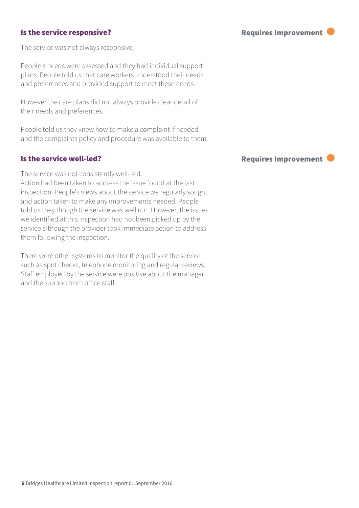#### Is the service responsive? The service responsive? The service was not always responsive. People's needs were assessed and they had individual support plans. People told us that care workers understood their needs and preferences and provided support to meet these needs. However the care plans did not always provide clear detail of their needs and preferences. People told us they knew how to make a complaint if needed and the complaints policy and procedure was available to them. Is the service well-led?  $\blacksquare$ The service was not consistently well- led. Action had been taken to address the issue found at the last inspection. People's views about the service we regularly sought and action taken to make any improvements needed. People told us they though the service was well run. However, the issues we identified at this inspection had not been picked up by the service although the provider took immediate action to address them following the inspection. There were other systems to monitor the quality of the service such as spot checks, telephone monitoring and regular reviews. Staff employed by the service were positive about the manager and the support from office staff.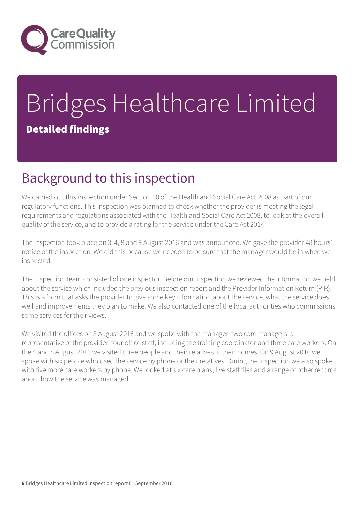

# Bridges Healthcare Limited Detailed findings

### Background to this inspection

We carried out this inspection under Section 60 of the Health and Social Care Act 2008 as part of our regulatory functions. This inspection was planned to check whether the provider is meeting the legal requirements and regulations associated with the Health and Social Care Act 2008, to look at the overall quality of the service, and to provide a rating for the service under the Care Act 2014.

The inspection took place on 3, 4, 8 and 9 August 2016 and was announced. We gave the provider 48 hours' notice of the inspection. We did this because we needed to be sure that the manager would be in when we inspected.

The inspection team consisted of one inspector. Before our inspection we reviewed the information we held about the service which included the previous inspection report and the Provider Information Return (PIR). This is a form that asks the provider to give some key information about the service, what the service does well and improvements they plan to make. We also contacted one of the local authorities who commissions some services for their views.

We visited the offices on 3 August 2016 and we spoke with the manager, two care managers, a representative of the provider, four office staff, including the training coordinator and three care workers. On the 4 and 8 August 2016 we visited three people and their relatives in their homes. On 9 August 2016 we spoke with six people who used the service by phone or their relatives. During the inspection we also spoke with five more care workers by phone. We looked at six care plans, five staff files and a range of other records about how the service was managed.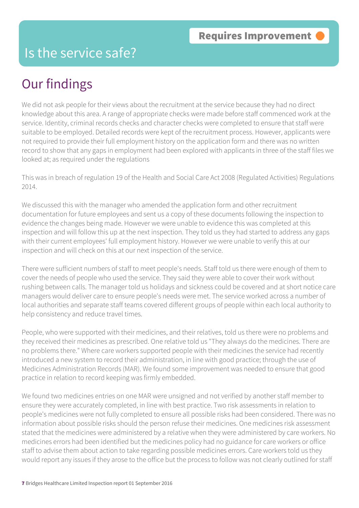#### Is the service safe?

### Our findings

We did not ask people for their views about the recruitment at the service because they had no direct knowledge about this area. A range of appropriate checks were made before staff commenced work at the service. Identity, criminal records checks and character checks were completed to ensure that staff were suitable to be employed. Detailed records were kept of the recruitment process. However, applicants were not required to provide their full employment history on the application form and there was no written record to show that any gaps in employment had been explored with applicants in three of the staff files we looked at; as required under the regulations

This was in breach of regulation 19 of the Health and Social Care Act 2008 (Regulated Activities) Regulations 2014.

We discussed this with the manager who amended the application form and other recruitment documentation for future employees and sent us a copy of these documents following the inspection to evidence the changes being made. However we were unable to evidence this was completed at this inspection and will follow this up at the next inspection. They told us they had started to address any gaps with their current employees' full employment history. However we were unable to verify this at our inspection and will check on this at our next inspection of the service.

There were sufficient numbers of staff to meet people's needs. Staff told us there were enough of them to cover the needs of people who used the service. They said they were able to cover their work without rushing between calls. The manager told us holidays and sickness could be covered and at short notice care managers would deliver care to ensure people's needs were met. The service worked across a number of local authorities and separate staff teams covered different groups of people within each local authority to help consistency and reduce travel times.

People, who were supported with their medicines, and their relatives, told us there were no problems and they received their medicines as prescribed. One relative told us "They always do the medicines. There are no problems there." Where care workers supported people with their medicines the service had recently introduced a new system to record their administration, in line with good practice; through the use of Medicines Administration Records (MAR). We found some improvement was needed to ensure that good practice in relation to record keeping was firmly embedded.

We found two medicines entries on one MAR were unsigned and not verified by another staff member to ensure they were accurately completed, in line with best practice. Two risk assessments in relation to people's medicines were not fully completed to ensure all possible risks had been considered. There was no information about possible risks should the person refuse their medicines. One medicines risk assessment stated that the medicines were administered by a relative when they were administered by care workers. No medicines errors had been identified but the medicines policy had no guidance for care workers or office staff to advise them about action to take regarding possible medicines errors. Care workers told us they would report any issues if they arose to the office but the process to follow was not clearly outlined for staff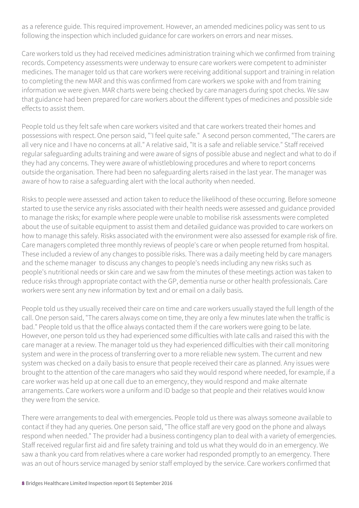as a reference guide. This required improvement. However, an amended medicines policy was sent to us following the inspection which included guidance for care workers on errors and near misses.

Care workers told us they had received medicines administration training which we confirmed from training records. Competency assessments were underway to ensure care workers were competent to administer medicines. The manager told us that care workers were receiving additional support and training in relation to completing the new MAR and this was confirmed from care workers we spoke with and from training information we were given. MAR charts were being checked by care managers during spot checks. We saw that guidance had been prepared for care workers about the different types of medicines and possible side effects to assist them.

People told us they felt safe when care workers visited and that care workers treated their homes and possessions with respect. One person said, "'I feel quite safe." A second person commented, "The carers are all very nice and I have no concerns at all." A relative said, "It is a safe and reliable service." Staff received regular safeguarding adults training and were aware of signs of possible abuse and neglect and what to do if they had any concerns. They were aware of whistleblowing procedures and where to report concerns outside the organisation. There had been no safeguarding alerts raised in the last year. The manager was aware of how to raise a safeguarding alert with the local authority when needed.

Risks to people were assessed and action taken to reduce the likelihood of these occurring. Before someone started to use the service any risks associated with their health needs were assessed and guidance provided to manage the risks; for example where people were unable to mobilise risk assessments were completed about the use of suitable equipment to assist them and detailed guidance was provided to care workers on how to manage this safely. Risks associated with the environment were also assessed for example risk of fire. Care managers completed three monthly reviews of people's care or when people returned from hospital. These included a review of any changes to possible risks. There was a daily meeting held by care managers and the scheme manager to discuss any changes to people's needs including any new risks such as people's nutritional needs or skin care and we saw from the minutes of these meetings action was taken to reduce risks through appropriate contact with the GP, dementia nurse or other health professionals. Care workers were sent any new information by text and or email on a daily basis.

People told us they usually received their care on time and care workers usually stayed the full length of the call. One person said, "The carers always come on time, they are only a few minutes late when the traffic is bad." People told us that the office always contacted them if the care workers were going to be late. However, one person told us they had experienced some difficulties with late calls and raised this with the care manager at a review. The manager told us they had experienced difficulties with their call monitoring system and were in the process of transferring over to a more reliable new system. The current and new system was checked on a daily basis to ensure that people received their care as planned. Any issues were brought to the attention of the care managers who said they would respond where needed, for example, if a care worker was held up at one call due to an emergency, they would respond and make alternate arrangements. Care workers wore a uniform and ID badge so that people and their relatives would know they were from the service.

There were arrangements to deal with emergencies. People told us there was always someone available to contact if they had any queries. One person said, "The office staff are very good on the phone and always respond when needed." The provider had a business contingency plan to deal with a variety of emergencies. Staff received regular first aid and fire safety training and told us what they would do in an emergency. We saw a thank you card from relatives where a care worker had responded promptly to an emergency. There was an out of hours service managed by senior staff employed by the service. Care workers confirmed that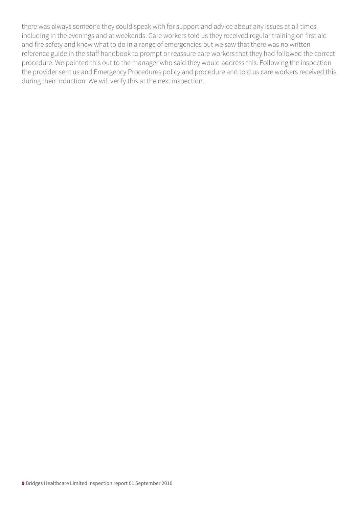there was always someone they could speak with for support and advice about any issues at all times including in the evenings and at weekends. Care workers told us they received regular training on first aid and fire safety and knew what to do in a range of emergencies but we saw that there was no written reference guide in the staff handbook to prompt or reassure care workers that they had followed the correct procedure. We pointed this out to the manager who said they would address this. Following the inspection the provider sent us and Emergency Procedures policy and procedure and told us care workers received this during their induction. We will verify this at the next inspection.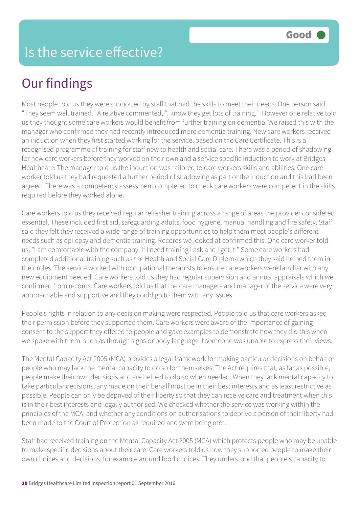## Our findings

Most people told us they were supported by staff that had the skills to meet their needs. One person said, "They seem well trained." A relative commented, "I know they get lots of training." However one relative told us they thought some care workers would benefit from further training on dementia. We raised this with the manager who confirmed they had recently introduced more dementia training. New care workers received an induction when they first started working for the service, based on the Care Certificate. This is a recognised programme of training for staff new to health and social care. There was a period of shadowing for new care workers before they worked on their own and a service specific induction to work at Bridges Healthcare. The manager told us the induction was tailored to care workers skills and abilities. One care worker told us they had requested a further period of shadowing as part of the induction and this had been agreed. There was a competency assessment completed to check care workers were competent in the skills required before they worked alone.

Care workers told us they received regular refresher training across a range of areas the provider considered essential. These included first aid, safeguarding adults, food hygiene, manual handling and fire safety. Staff said they felt they received a wide range of training opportunities to help them meet people's different needs such as epilepsy and dementia training. Records we looked at confirmed this. One care worker told us, "I am comfortable with the company. If I need training I ask and I get it." Some care workers had completed additional training such as the Health and Social Care Diploma which they said helped them in their roles. The service worked with occupational therapists to ensure care workers were familiar with any new equipment needed. Care workers told us they had regular supervision and annual appraisals which we confirmed from records. Care workers told us that the care managers and manager of the service were very approachable and supportive and they could go to them with any issues.

People's rights in relation to any decision making were respected. People told us that care workers asked their permission before they supported them. Care workers were aware of the importance of gaining consent to the support they offered to people and gave examples to demonstrate how they did this when we spoke with them; such as through signs or body language if someone was unable to express their views.

The Mental Capacity Act 2005 (MCA) provides a legal framework for making particular decisions on behalf of people who may lack the mental capacity to do so for themselves. The Act requires that, as far as possible, people make their own decisions and are helped to do so when needed. When they lack mental capacity to take particular decisions, any made on their behalf must be in their best interests and as least restrictive as possible. People can only be deprived of their liberty so that they can receive care and treatment when this is in their best interests and legally authorised. We checked whether the service was working within the principles of the MCA, and whether any conditions on authorisations to deprive a person of their liberty had been made to the Court of Protection as required and were being met.

Staff had received training on the Mental Capacity Act 2005 (MCA) which protects people who may be unable to make specific decisions about their care. Care workers told us how they supported people to make their own choices and decisions, for example around food choices. They understood that people's capacity to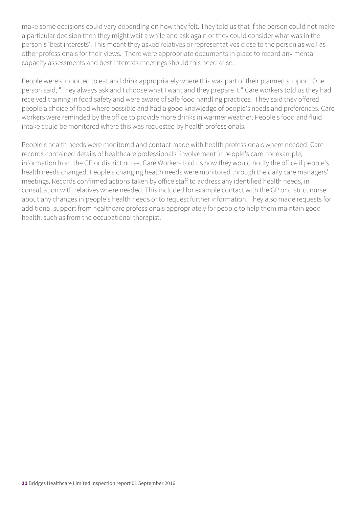make some decisions could vary depending on how they felt. They told us that if the person could not make a particular decision then they might wait a while and ask again or they could consider what was in the person's 'best interests'. This meant they asked relatives or representatives close to the person as well as other professionals for their views. There were appropriate documents in place to record any mental capacity assessments and best interests meetings should this need arise.

People were supported to eat and drink appropriately where this was part of their planned support. One person said, "They always ask and I choose what I want and they prepare it." Care workers told us they had received training in food safety and were aware of safe food handling practices. They said they offered people a choice of food where possible and had a good knowledge of people's needs and preferences. Care workers were reminded by the office to provide more drinks in warmer weather. People's food and fluid intake could be monitored where this was requested by health professionals.

People's health needs were monitored and contact made with health professionals where needed. Care records contained details of healthcare professionals' involvement in people's care, for example, information from the GP or district nurse. Care Workers told us how they would notify the office if people's health needs changed. People's changing health needs were monitored through the daily care managers' meetings. Records confirmed actions taken by office staff to address any identified health needs, in consultation with relatives where needed. This included for example contact with the GP or district nurse about any changes in people's health needs or to request further information. They also made requests for additional support from healthcare professionals appropriately for people to help them maintain good health; such as from the occupational therapist.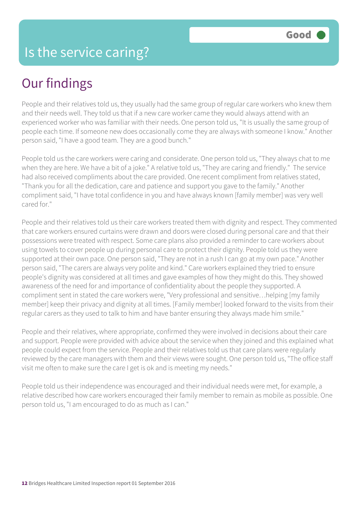### Our findings

People and their relatives told us, they usually had the same group of regular care workers who knew them and their needs well. They told us that if a new care worker came they would always attend with an experienced worker who was familiar with their needs. One person told us, "It is usually the same group of people each time. If someone new does occasionally come they are always with someone I know." Another person said, "I have a good team. They are a good bunch."

People told us the care workers were caring and considerate. One person told us, "They always chat to me when they are here. We have a bit of a joke." A relative told us, "They are caring and friendly." The service had also received compliments about the care provided. One recent compliment from relatives stated, "Thank you for all the dedication, care and patience and support you gave to the family." Another compliment said, "I have total confidence in you and have always known [family member] was very well cared for."

People and their relatives told us their care workers treated them with dignity and respect. They commented that care workers ensured curtains were drawn and doors were closed during personal care and that their possessions were treated with respect. Some care plans also provided a reminder to care workers about using towels to cover people up during personal care to protect their dignity. People told us they were supported at their own pace. One person said, "They are not in a rush I can go at my own pace." Another person said, "The carers are always very polite and kind." Care workers explained they tried to ensure people's dignity was considered at all times and gave examples of how they might do this. They showed awareness of the need for and importance of confidentiality about the people they supported. A compliment sent in stated the care workers were, "Very professional and sensitive…helping [my family member] keep their privacy and dignity at all times. [Family member] looked forward to the visits from their regular carers as they used to talk to him and have banter ensuring they always made him smile."

People and their relatives, where appropriate, confirmed they were involved in decisions about their care and support. People were provided with advice about the service when they joined and this explained what people could expect from the service. People and their relatives told us that care plans were regularly reviewed by the care managers with them and their views were sought. One person told us, "The office staff visit me often to make sure the care I get is ok and is meeting my needs."

People told us their independence was encouraged and their individual needs were met, for example, a relative described how care workers encouraged their family member to remain as mobile as possible. One person told us, "I am encouraged to do as much as I can."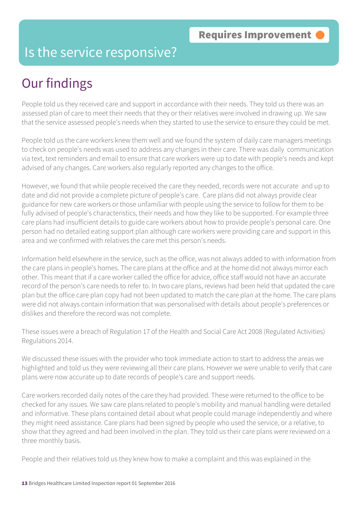#### Is the service responsive?

## Our findings

People told us they received care and support in accordance with their needs. They told us there was an assessed plan of care to meet their needs that they or their relatives were involved in drawing up. We saw that the service assessed people's needs when they started to use the service to ensure they could be met.

People told us the care workers knew them well and we found the system of daily care managers meetings to check on people's needs was used to address any changes in their care. There was daily communication via text, text reminders and email to ensure that care workers were up to date with people's needs and kept advised of any changes. Care workers also regularly reported any changes to the office.

However, we found that while people received the care they needed, records were not accurate and up to date and did not provide a complete picture of people's care. Care plans did not always provide clear guidance for new care workers or those unfamiliar with people using the service to follow for them to be fully advised of people's characteristics, their needs and how they like to be supported. For example three care plans had insufficient details to guide care workers about how to provide people's personal care. One person had no detailed eating support plan although care workers were providing care and support in this area and we confirmed with relatives the care met this person's needs.

Information held elsewhere in the service, such as the office, was not always added to with information from the care plans in people's homes. The care plans at the office and at the home did not always mirror each other. This meant that if a care worker called the office for advice, office staff would not have an accurate record of the person's care needs to refer to. In two care plans, reviews had been held that updated the care plan but the office care plan copy had not been updated to match the care plan at the home. The care plans were did not always contain information that was personalised with details about people's preferences or dislikes and therefore the record was not complete.

These issues were a breach of Regulation 17 of the Health and Social Care Act 2008 (Regulated Activities) Regulations 2014.

We discussed these issues with the provider who took immediate action to start to address the areas we highlighted and told us they were reviewing all their care plans. However we were unable to verify that care plans were now accurate up to date records of people's care and support needs.

Care workers recorded daily notes of the care they had provided. These were returned to the office to be checked for any issues. We saw care plans related to people's mobility and manual handling were detailed and informative. These plans contained detail about what people could manage independently and where they might need assistance. Care plans had been signed by people who used the service, or a relative, to show that they agreed and had been involved in the plan. They told us their care plans were reviewed on a three monthly basis.

People and their relatives told us they knew how to make a complaint and this was explained in the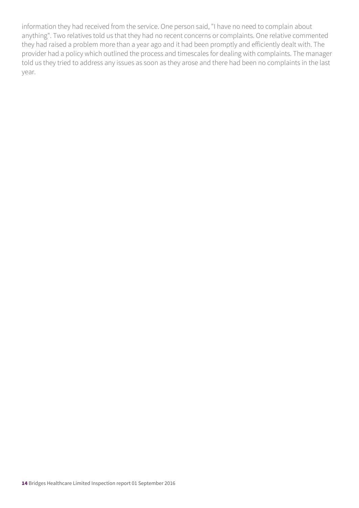information they had received from the service. One person said, "I have no need to complain about anything". Two relatives told us that they had no recent concerns or complaints. One relative commented they had raised a problem more than a year ago and it had been promptly and efficiently dealt with. The provider had a policy which outlined the process and timescales for dealing with complaints. The manager told us they tried to address any issues as soon as they arose and there had been no complaints in the last year.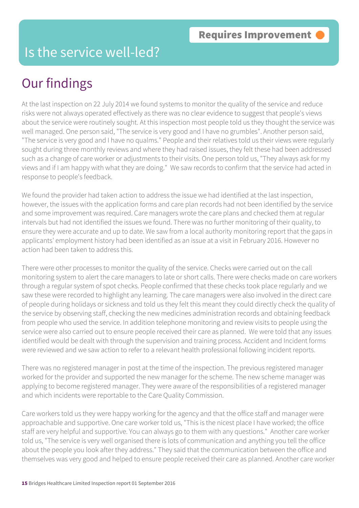### Is the service well-led?

### Our findings

At the last inspection on 22 July 2014 we found systems to monitor the quality of the service and reduce risks were not always operated effectively as there was no clear evidence to suggest that people's views about the service were routinely sought. At this inspection most people told us they thought the service was well managed. One person said, "The service is very good and I have no grumbles". Another person said, "The service is very good and I have no qualms." People and their relatives told us their views were regularly sought during three monthly reviews and where they had raised issues, they felt these had been addressed such as a change of care worker or adjustments to their visits. One person told us, "They always ask for my views and if I am happy with what they are doing." We saw records to confirm that the service had acted in response to people's feedback.

We found the provider had taken action to address the issue we had identified at the last inspection, however, the issues with the application forms and care plan records had not been identified by the service and some improvement was required. Care managers wrote the care plans and checked them at regular intervals but had not identified the issues we found. There was no further monitoring of their quality, to ensure they were accurate and up to date. We saw from a local authority monitoring report that the gaps in applicants' employment history had been identified as an issue at a visit in February 2016. However no action had been taken to address this.

There were other processes to monitor the quality of the service. Checks were carried out on the call monitoring system to alert the care managers to late or short calls. There were checks made on care workers through a regular system of spot checks. People confirmed that these checks took place regularly and we saw these were recorded to highlight any learning. The care managers were also involved in the direct care of people during holidays or sickness and told us they felt this meant they could directly check the quality of the service by observing staff, checking the new medicines administration records and obtaining feedback from people who used the service. In addition telephone monitoring and review visits to people using the service were also carried out to ensure people received their care as planned. We were told that any issues identified would be dealt with through the supervision and training process. Accident and Incident forms were reviewed and we saw action to refer to a relevant health professional following incident reports.

There was no registered manager in post at the time of the inspection. The previous registered manager worked for the provider and supported the new manager for the scheme. The new scheme manager was applying to become registered manager. They were aware of the responsibilities of a registered manager and which incidents were reportable to the Care Quality Commission.

Care workers told us they were happy working for the agency and that the office staff and manager were approachable and supportive. One care worker told us, "This is the nicest place I have worked; the office staff are very helpful and supportive. You can always go to them with any questions." Another care worker told us, "The service is very well organised there is lots of communication and anything you tell the office about the people you look after they address." They said that the communication between the office and themselves was very good and helped to ensure people received their care as planned. Another care worker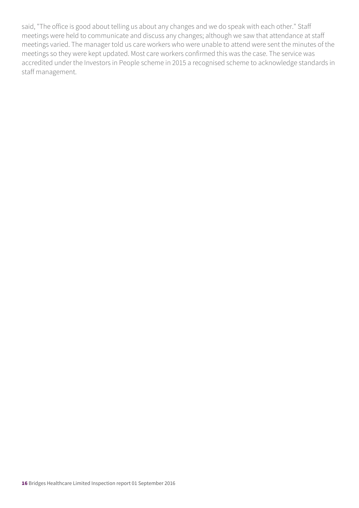said, "The office is good about telling us about any changes and we do speak with each other." Staff meetings were held to communicate and discuss any changes; although we saw that attendance at staff meetings varied. The manager told us care workers who were unable to attend were sent the minutes of the meetings so they were kept updated. Most care workers confirmed this was the case. The service was accredited under the Investors in People scheme in 2015 a recognised scheme to acknowledge standards in staff management.